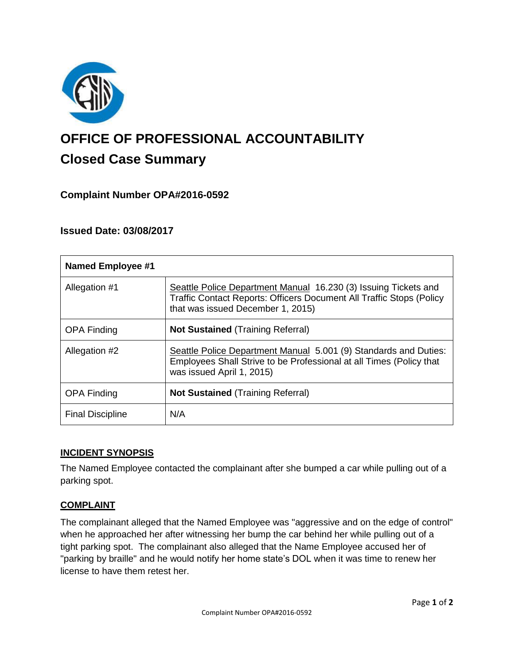

# **OFFICE OF PROFESSIONAL ACCOUNTABILITY Closed Case Summary**

# **Complaint Number OPA#2016-0592**

## **Issued Date: 03/08/2017**

| <b>Named Employee #1</b> |                                                                                                                                                                                     |
|--------------------------|-------------------------------------------------------------------------------------------------------------------------------------------------------------------------------------|
| Allegation #1            | Seattle Police Department Manual 16.230 (3) Issuing Tickets and<br><b>Traffic Contact Reports: Officers Document All Traffic Stops (Policy</b><br>that was issued December 1, 2015) |
| <b>OPA Finding</b>       | <b>Not Sustained (Training Referral)</b>                                                                                                                                            |
| Allegation #2            | Seattle Police Department Manual 5.001 (9) Standards and Duties:<br>Employees Shall Strive to be Professional at all Times (Policy that<br>was issued April 1, 2015)                |
| <b>OPA Finding</b>       | <b>Not Sustained (Training Referral)</b>                                                                                                                                            |
| <b>Final Discipline</b>  | N/A                                                                                                                                                                                 |

## **INCIDENT SYNOPSIS**

The Named Employee contacted the complainant after she bumped a car while pulling out of a parking spot.

## **COMPLAINT**

The complainant alleged that the Named Employee was "aggressive and on the edge of control" when he approached her after witnessing her bump the car behind her while pulling out of a tight parking spot. The complainant also alleged that the Name Employee accused her of "parking by braille" and he would notify her home state's DOL when it was time to renew her license to have them retest her.